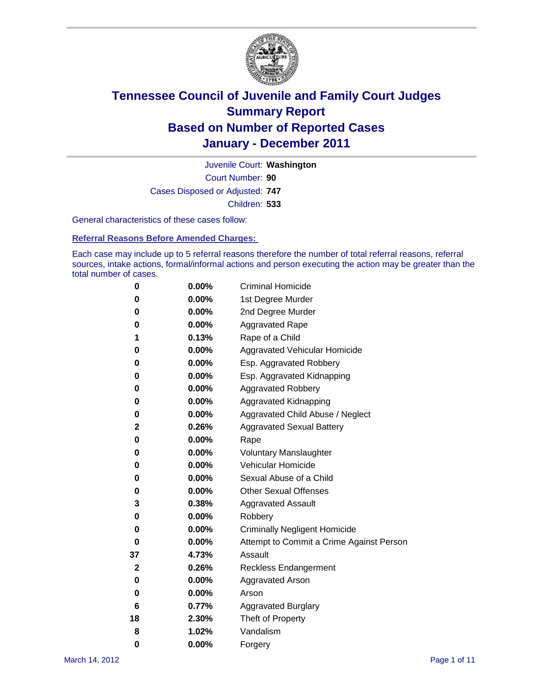

Court Number: **90** Juvenile Court: **Washington** Cases Disposed or Adjusted: **747** Children: **533**

General characteristics of these cases follow:

**Referral Reasons Before Amended Charges:** 

Each case may include up to 5 referral reasons therefore the number of total referral reasons, referral sources, intake actions, formal/informal actions and person executing the action may be greater than the total number of cases.

| 0  | 0.00% | <b>Criminal Homicide</b>                 |  |  |  |
|----|-------|------------------------------------------|--|--|--|
| 0  | 0.00% | 1st Degree Murder                        |  |  |  |
| 0  | 0.00% | 2nd Degree Murder                        |  |  |  |
| 0  | 0.00% | <b>Aggravated Rape</b>                   |  |  |  |
| 1  | 0.13% | Rape of a Child                          |  |  |  |
| 0  | 0.00% | Aggravated Vehicular Homicide            |  |  |  |
| 0  | 0.00% | Esp. Aggravated Robbery                  |  |  |  |
| 0  | 0.00% | Esp. Aggravated Kidnapping               |  |  |  |
| 0  | 0.00% | <b>Aggravated Robbery</b>                |  |  |  |
| 0  | 0.00% | Aggravated Kidnapping                    |  |  |  |
| 0  | 0.00% | Aggravated Child Abuse / Neglect         |  |  |  |
| 2  | 0.26% | <b>Aggravated Sexual Battery</b>         |  |  |  |
| 0  | 0.00% | Rape                                     |  |  |  |
| 0  | 0.00% | <b>Voluntary Manslaughter</b>            |  |  |  |
| 0  | 0.00% | Vehicular Homicide                       |  |  |  |
| 0  | 0.00% | Sexual Abuse of a Child                  |  |  |  |
| 0  | 0.00% | <b>Other Sexual Offenses</b>             |  |  |  |
| 3  | 0.38% | <b>Aggravated Assault</b>                |  |  |  |
| 0  | 0.00% | Robbery                                  |  |  |  |
| 0  | 0.00% | <b>Criminally Negligent Homicide</b>     |  |  |  |
| 0  | 0.00% | Attempt to Commit a Crime Against Person |  |  |  |
| 37 | 4.73% | Assault                                  |  |  |  |
| 2  | 0.26% | <b>Reckless Endangerment</b>             |  |  |  |
| 0  | 0.00% | <b>Aggravated Arson</b>                  |  |  |  |
| 0  | 0.00% | Arson                                    |  |  |  |
| 6  | 0.77% | <b>Aggravated Burglary</b>               |  |  |  |
| 18 | 2.30% | Theft of Property                        |  |  |  |
| 8  | 1.02% | Vandalism                                |  |  |  |
| 0  | 0.00% | Forgery                                  |  |  |  |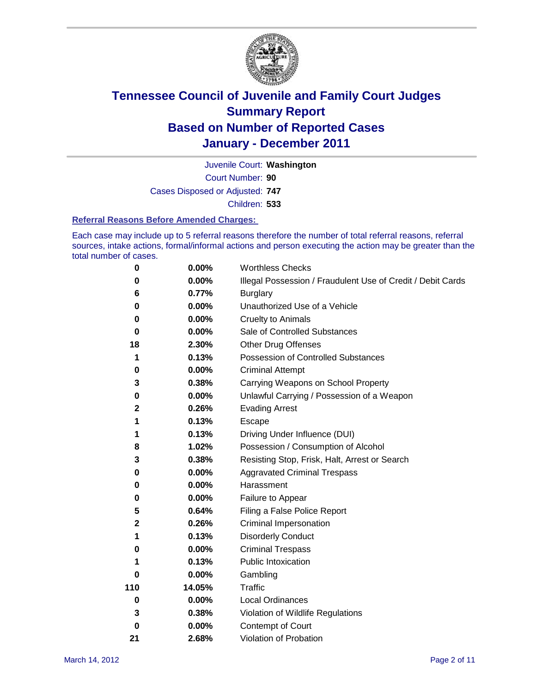

Court Number: **90** Juvenile Court: **Washington** Cases Disposed or Adjusted: **747** Children: **533**

#### **Referral Reasons Before Amended Charges:**

Each case may include up to 5 referral reasons therefore the number of total referral reasons, referral sources, intake actions, formal/informal actions and person executing the action may be greater than the total number of cases.

| $\pmb{0}$ | 0.00%    | <b>Worthless Checks</b>                                     |  |  |
|-----------|----------|-------------------------------------------------------------|--|--|
| 0         | 0.00%    | Illegal Possession / Fraudulent Use of Credit / Debit Cards |  |  |
| 6         | 0.77%    | <b>Burglary</b>                                             |  |  |
| $\bf{0}$  | $0.00\%$ | Unauthorized Use of a Vehicle                               |  |  |
| 0         | $0.00\%$ | <b>Cruelty to Animals</b>                                   |  |  |
| $\bf{0}$  | $0.00\%$ | Sale of Controlled Substances                               |  |  |
| 18        | 2.30%    | <b>Other Drug Offenses</b>                                  |  |  |
| 1         | 0.13%    | Possession of Controlled Substances                         |  |  |
| 0         | $0.00\%$ | <b>Criminal Attempt</b>                                     |  |  |
| 3         | 0.38%    | Carrying Weapons on School Property                         |  |  |
| 0         | $0.00\%$ | Unlawful Carrying / Possession of a Weapon                  |  |  |
| 2         | 0.26%    | <b>Evading Arrest</b>                                       |  |  |
| 1         | 0.13%    | Escape                                                      |  |  |
| 1         | 0.13%    | Driving Under Influence (DUI)                               |  |  |
| 8         | 1.02%    | Possession / Consumption of Alcohol                         |  |  |
| 3         | 0.38%    | Resisting Stop, Frisk, Halt, Arrest or Search               |  |  |
| 0         | $0.00\%$ | <b>Aggravated Criminal Trespass</b>                         |  |  |
| 0         | $0.00\%$ | Harassment                                                  |  |  |
| $\pmb{0}$ | 0.00%    | Failure to Appear                                           |  |  |
| 5         | 0.64%    | Filing a False Police Report                                |  |  |
| 2         | 0.26%    | Criminal Impersonation                                      |  |  |
| 1         | 0.13%    | <b>Disorderly Conduct</b>                                   |  |  |
| 0         | $0.00\%$ | <b>Criminal Trespass</b>                                    |  |  |
| 1         | 0.13%    | Public Intoxication                                         |  |  |
| 0         | $0.00\%$ | Gambling                                                    |  |  |
| 110       | 14.05%   | Traffic                                                     |  |  |
| 0         | $0.00\%$ | <b>Local Ordinances</b>                                     |  |  |
| 3         | 0.38%    | Violation of Wildlife Regulations                           |  |  |
| 0         | $0.00\%$ | Contempt of Court                                           |  |  |
| 21        | 2.68%    | Violation of Probation                                      |  |  |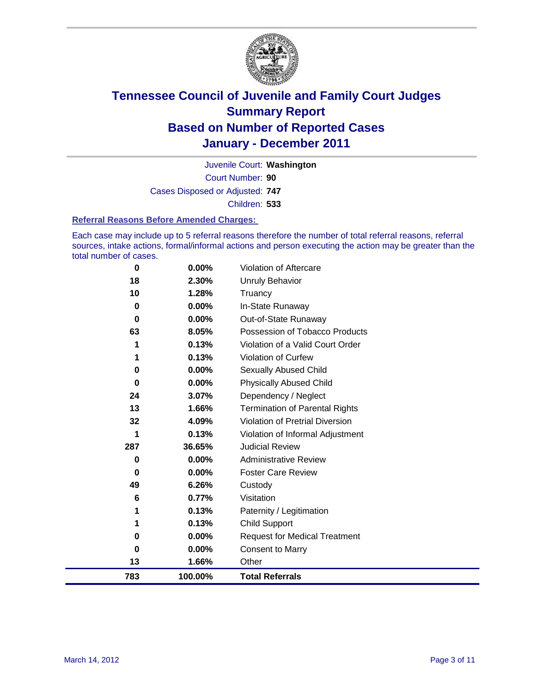

Court Number: **90** Juvenile Court: **Washington** Cases Disposed or Adjusted: **747** Children: **533**

#### **Referral Reasons Before Amended Charges:**

Each case may include up to 5 referral reasons therefore the number of total referral reasons, referral sources, intake actions, formal/informal actions and person executing the action may be greater than the total number of cases.

| 783 | 100.00%        | <b>Total Referrals</b>                 |
|-----|----------------|----------------------------------------|
| 13  | 1.66%          | Other                                  |
| 0   | 0.00%          | <b>Consent to Marry</b>                |
| 0   | 0.00%          | <b>Request for Medical Treatment</b>   |
| 1   | 0.13%          | <b>Child Support</b>                   |
| 1   | 0.13%          | Paternity / Legitimation               |
| 6   | 0.77%          | Visitation                             |
| 49  | 6.26%          | Custody                                |
| 0   | 0.00%          | <b>Foster Care Review</b>              |
| 0   | $0.00\%$       | <b>Administrative Review</b>           |
| 287 | 36.65%         | <b>Judicial Review</b>                 |
| 1   | 0.13%          | Violation of Informal Adjustment       |
| 32  | 4.09%          | <b>Violation of Pretrial Diversion</b> |
| 13  | 1.66%          | <b>Termination of Parental Rights</b>  |
| 24  | 3.07%          | Dependency / Neglect                   |
| 0   | $0.00\%$       | <b>Physically Abused Child</b>         |
| 0   | 0.00%          | <b>Sexually Abused Child</b>           |
| 1   | 0.13%          | Violation of Curfew                    |
|     | 0.13%          | Violation of a Valid Court Order       |
| 63  | 8.05%          | Possession of Tobacco Products         |
| 0   | $0.00\%$       | Out-of-State Runaway                   |
| 0   | $0.00\%$       | In-State Runaway                       |
| 10  | 2.30%<br>1.28% | <b>Unruly Behavior</b><br>Truancy      |
| 18  |                |                                        |
| 0   | 0.00%          | <b>Violation of Aftercare</b>          |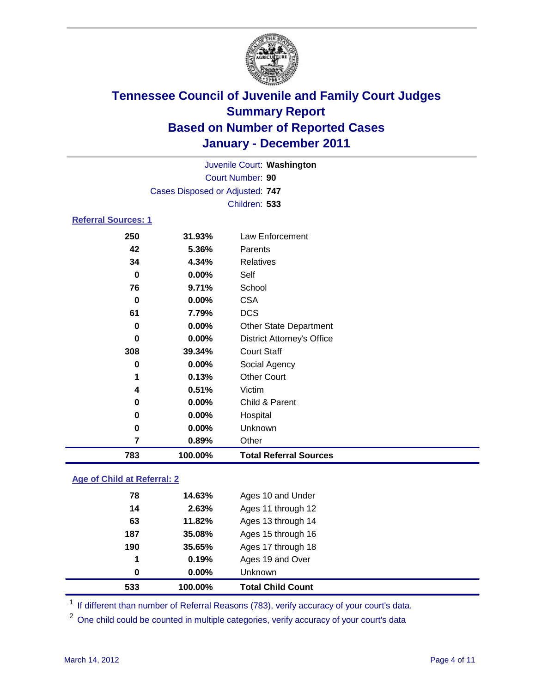

|                            |                                 | Juvenile Court: Washington        |  |  |
|----------------------------|---------------------------------|-----------------------------------|--|--|
| Court Number: 90           |                                 |                                   |  |  |
|                            | Cases Disposed or Adjusted: 747 |                                   |  |  |
|                            | Children: 533                   |                                   |  |  |
| <b>Referral Sources: 1</b> |                                 |                                   |  |  |
| 250                        | 31.93%                          | Law Enforcement                   |  |  |
| 42                         | 5.36%                           | Parents                           |  |  |
| 34                         | 4.34%                           | <b>Relatives</b>                  |  |  |
| $\bf{0}$                   | 0.00%                           | Self                              |  |  |
| 76                         | 9.71%                           | School                            |  |  |
| 0                          | $0.00\%$                        | <b>CSA</b>                        |  |  |
| 61                         | 7.79%                           | <b>DCS</b>                        |  |  |
| $\bf{0}$                   | 0.00%                           | <b>Other State Department</b>     |  |  |
| $\bf{0}$                   | $0.00\%$                        | <b>District Attorney's Office</b> |  |  |
| 308                        | 39.34%                          | <b>Court Staff</b>                |  |  |
| $\bf{0}$                   | $0.00\%$                        | Social Agency                     |  |  |
| 1                          | 0.13%                           | <b>Other Court</b>                |  |  |
| 4                          | 0.51%                           | Victim                            |  |  |
| 0                          | 0.00%                           | Child & Parent                    |  |  |
| 0                          | $0.00\%$                        | Hospital                          |  |  |
| 0                          | $0.00\%$                        | Unknown                           |  |  |
| 7                          | 0.89%                           | Other                             |  |  |
| 783                        | 100.00%                         | <b>Total Referral Sources</b>     |  |  |

### **Age of Child at Referral: 2**

| 533 | 100.00%  | <b>Total Child Count</b> |
|-----|----------|--------------------------|
| 0   | $0.00\%$ | <b>Unknown</b>           |
| 1   | 0.19%    | Ages 19 and Over         |
| 190 | 35.65%   | Ages 17 through 18       |
| 187 | 35.08%   | Ages 15 through 16       |
| 63  | 11.82%   | Ages 13 through 14       |
| 14  | 2.63%    | Ages 11 through 12       |
| 78  | 14.63%   | Ages 10 and Under        |
|     |          |                          |

<sup>1</sup> If different than number of Referral Reasons (783), verify accuracy of your court's data.

<sup>2</sup> One child could be counted in multiple categories, verify accuracy of your court's data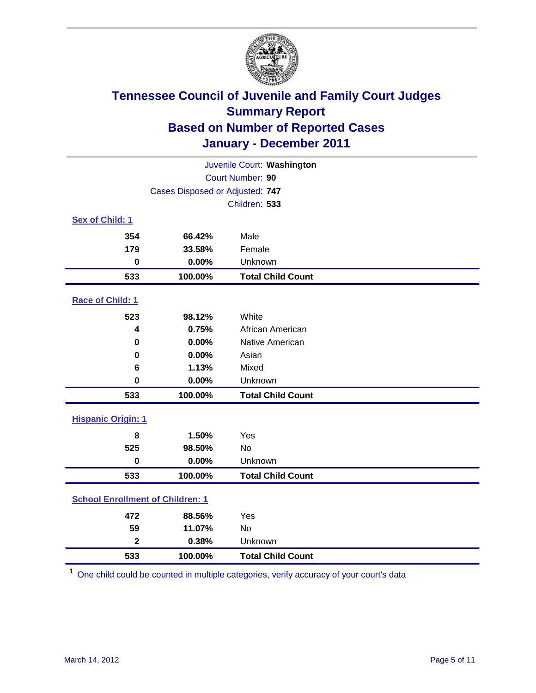

| Juvenile Court: Washington              |                                 |                          |  |  |  |
|-----------------------------------------|---------------------------------|--------------------------|--|--|--|
| Court Number: 90                        |                                 |                          |  |  |  |
|                                         | Cases Disposed or Adjusted: 747 |                          |  |  |  |
|                                         |                                 | Children: 533            |  |  |  |
| Sex of Child: 1                         |                                 |                          |  |  |  |
| 354                                     | 66.42%                          | Male                     |  |  |  |
| 179                                     | 33.58%                          | Female                   |  |  |  |
| $\bf{0}$                                | 0.00%                           | Unknown                  |  |  |  |
| 533                                     | 100.00%                         | <b>Total Child Count</b> |  |  |  |
| Race of Child: 1                        |                                 |                          |  |  |  |
| 523                                     | 98.12%                          | White                    |  |  |  |
| 4                                       | 0.75%                           | African American         |  |  |  |
| $\mathbf 0$                             | 0.00%                           | Native American          |  |  |  |
| $\bf{0}$                                | 0.00%                           | Asian                    |  |  |  |
| 6                                       | 1.13%                           | Mixed                    |  |  |  |
| $\mathbf 0$                             | 0.00%                           | Unknown                  |  |  |  |
| 533                                     | 100.00%                         | <b>Total Child Count</b> |  |  |  |
| <b>Hispanic Origin: 1</b>               |                                 |                          |  |  |  |
| 8                                       | 1.50%                           | Yes                      |  |  |  |
| 525                                     | 98.50%                          | <b>No</b>                |  |  |  |
| $\mathbf 0$                             | 0.00%                           | Unknown                  |  |  |  |
| 533                                     | 100.00%                         | <b>Total Child Count</b> |  |  |  |
| <b>School Enrollment of Children: 1</b> |                                 |                          |  |  |  |
| 472                                     | 88.56%                          | Yes                      |  |  |  |
| 59                                      | 11.07%                          | <b>No</b>                |  |  |  |
| $\overline{\mathbf{2}}$                 | 0.38%                           | Unknown                  |  |  |  |
| 533                                     | 100.00%                         | <b>Total Child Count</b> |  |  |  |

One child could be counted in multiple categories, verify accuracy of your court's data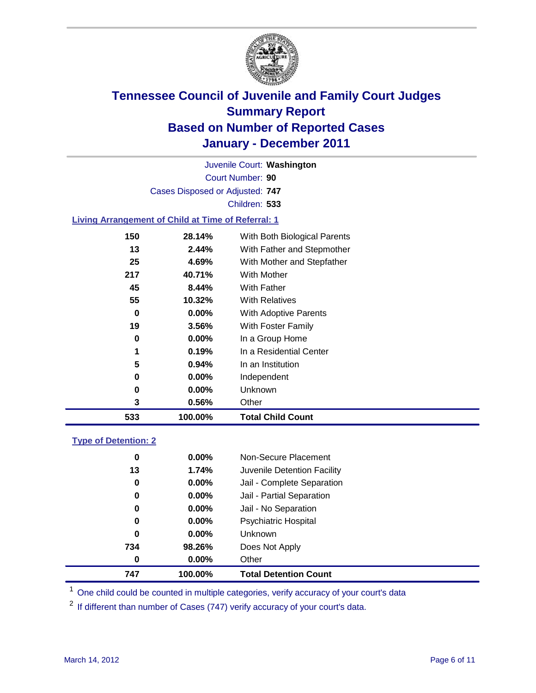

Court Number: **90** Juvenile Court: **Washington** Cases Disposed or Adjusted: **747** Children: **533**

### **Living Arrangement of Child at Time of Referral: 1**

| 533 | 100.00%  | <b>Total Child Count</b>     |
|-----|----------|------------------------------|
| 3   | 0.56%    | Other                        |
| 0   | $0.00\%$ | Unknown                      |
| 0   | $0.00\%$ | Independent                  |
| 5   | 0.94%    | In an Institution            |
| 1   | 0.19%    | In a Residential Center      |
| 0   | 0.00%    | In a Group Home              |
| 19  | 3.56%    | With Foster Family           |
| 0   | 0.00%    | <b>With Adoptive Parents</b> |
| 55  | 10.32%   | <b>With Relatives</b>        |
| 45  | 8.44%    | With Father                  |
| 217 | 40.71%   | With Mother                  |
| 25  | 4.69%    | With Mother and Stepfather   |
| 13  | 2.44%    | With Father and Stepmother   |
| 150 | 28.14%   | With Both Biological Parents |

### **Type of Detention: 2**

| 747 | 100.00%              | <b>Total Detention Count</b> |
|-----|----------------------|------------------------------|
|     | $0.00\%$<br>$\bf{0}$ | Other                        |
| 734 | 98.26%               | Does Not Apply               |
|     | $\bf{0}$<br>$0.00\%$ | Unknown                      |
|     | 0.00%<br>0           | <b>Psychiatric Hospital</b>  |
|     | 0.00%<br>0           | Jail - No Separation         |
|     | 0<br>$0.00\%$        | Jail - Partial Separation    |
|     | 0<br>$0.00\%$        | Jail - Complete Separation   |
|     | 1.74%<br>13          | Juvenile Detention Facility  |
|     | 0<br>$0.00\%$        | Non-Secure Placement         |
|     |                      |                              |

<sup>1</sup> One child could be counted in multiple categories, verify accuracy of your court's data

<sup>2</sup> If different than number of Cases (747) verify accuracy of your court's data.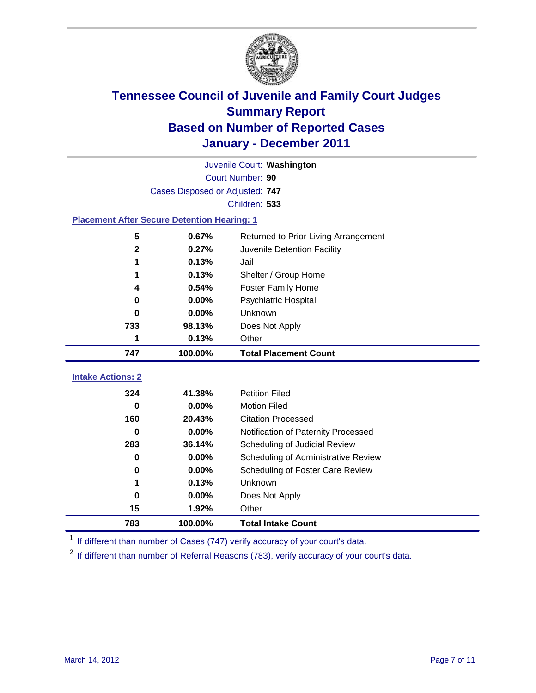

|                                                    | Juvenile Court: Washington      |                                      |  |  |  |
|----------------------------------------------------|---------------------------------|--------------------------------------|--|--|--|
|                                                    | Court Number: 90                |                                      |  |  |  |
|                                                    | Cases Disposed or Adjusted: 747 |                                      |  |  |  |
|                                                    |                                 | Children: 533                        |  |  |  |
| <b>Placement After Secure Detention Hearing: 1</b> |                                 |                                      |  |  |  |
| 5                                                  | 0.67%                           | Returned to Prior Living Arrangement |  |  |  |
| $\mathbf{2}$                                       | 0.27%                           | Juvenile Detention Facility          |  |  |  |
| 1                                                  | 0.13%                           | Jail                                 |  |  |  |
| 1                                                  | 0.13%                           | Shelter / Group Home                 |  |  |  |
| 4                                                  | 0.54%                           | <b>Foster Family Home</b>            |  |  |  |
| 0                                                  | 0.00%                           | Psychiatric Hospital                 |  |  |  |
| 0                                                  | 0.00%                           | Unknown                              |  |  |  |
| 733                                                | 98.13%                          | Does Not Apply                       |  |  |  |
| 1                                                  | 0.13%                           | Other                                |  |  |  |
| 747                                                | 100.00%                         | <b>Total Placement Count</b>         |  |  |  |
| <b>Intake Actions: 2</b>                           |                                 |                                      |  |  |  |
| 324                                                | 41.38%                          | <b>Petition Filed</b>                |  |  |  |
| 0                                                  | 0.00%                           | <b>Motion Filed</b>                  |  |  |  |
| 160                                                | 20.43%                          | <b>Citation Processed</b>            |  |  |  |
| 0                                                  | 0.00%                           | Notification of Paternity Processed  |  |  |  |
| 283                                                | 36.14%                          | Scheduling of Judicial Review        |  |  |  |
| 0                                                  | 0.00%                           | Scheduling of Administrative Review  |  |  |  |
| 0                                                  | 0.00%                           | Scheduling of Foster Care Review     |  |  |  |
| 1                                                  | 0.13%                           | Unknown                              |  |  |  |
| 0                                                  | 0.00%                           | Does Not Apply                       |  |  |  |
| 15                                                 | 1.92%                           | Other                                |  |  |  |
| 783                                                | 100.00%                         | <b>Total Intake Count</b>            |  |  |  |

<sup>1</sup> If different than number of Cases (747) verify accuracy of your court's data.

<sup>2</sup> If different than number of Referral Reasons (783), verify accuracy of your court's data.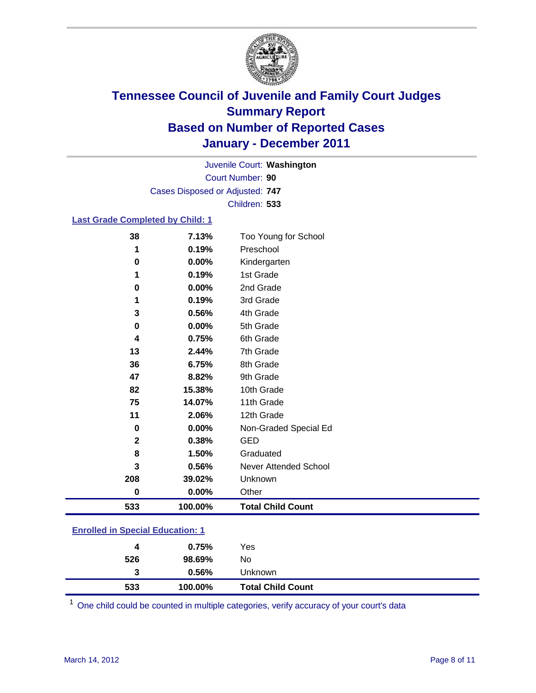

Court Number: **90** Juvenile Court: **Washington** Cases Disposed or Adjusted: **747** Children: **533**

### **Last Grade Completed by Child: 1**

| 533          | 100.00%        | <b>Total Child Count</b>          |  |
|--------------|----------------|-----------------------------------|--|
| 0            | $0.00\%$       | Other                             |  |
| 208          | 39.02%         | Unknown                           |  |
| 3            | 0.56%          | Never Attended School             |  |
| 8            | 1.50%          | Graduated                         |  |
| $\mathbf{2}$ | 0.38%          | <b>GED</b>                        |  |
| 0            | 0.00%          | Non-Graded Special Ed             |  |
| 11           | 2.06%          | 12th Grade                        |  |
| 75           | 14.07%         | 11th Grade                        |  |
| 82           | 15.38%         | 10th Grade                        |  |
| 47           | 8.82%          | 9th Grade                         |  |
| 36           | 6.75%          | 8th Grade                         |  |
| 13           | 2.44%          | 7th Grade                         |  |
| 4            | 0.75%          | 6th Grade                         |  |
| 0            | 0.00%          | 5th Grade                         |  |
| 3            | 0.56%          | 4th Grade                         |  |
| 1            | 0.19%          | 3rd Grade                         |  |
| $\bf{0}$     | 0.00%          | 2nd Grade                         |  |
| 1            | 0.19%          | 1st Grade                         |  |
| 0            | 0.00%          | Kindergarten                      |  |
| 38<br>1      | 7.13%<br>0.19% | Too Young for School<br>Preschool |  |

#### **Enrolled in Special Education: 1**

| 533 | 100.00% | <b>Total Child Count</b> |
|-----|---------|--------------------------|
| 3   | 0.56%   | <b>Unknown</b>           |
| 526 | 98.69%  | No.                      |
| 4   | 0.75%   | Yes                      |
|     |         |                          |

One child could be counted in multiple categories, verify accuracy of your court's data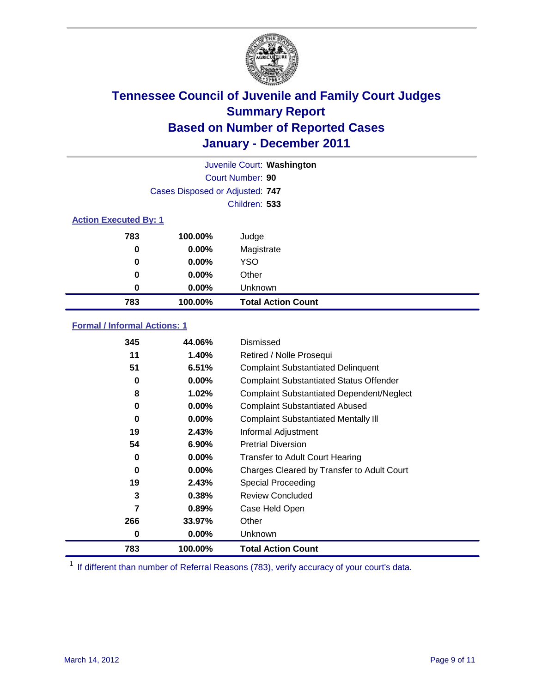

|     |                                 | Juvenile Court: Washington |  |  |  |
|-----|---------------------------------|----------------------------|--|--|--|
|     |                                 | Court Number: 90           |  |  |  |
|     | Cases Disposed or Adjusted: 747 |                            |  |  |  |
|     |                                 | Children: 533              |  |  |  |
|     | <b>Action Executed By: 1</b>    |                            |  |  |  |
| 783 | 100.00%                         | Judge                      |  |  |  |
| 0   | $0.00\%$                        | Magistrate                 |  |  |  |
| 0   | $0.00\%$                        | <b>YSO</b>                 |  |  |  |
| 0   | 0.00%                           | Other                      |  |  |  |
| 0   | 0.00%                           | Unknown                    |  |  |  |
| 783 | 100.00%                         | <b>Total Action Count</b>  |  |  |  |

### **Formal / Informal Actions: 1**

| 345 | 44.06%   | Dismissed                                        |
|-----|----------|--------------------------------------------------|
| 11  | 1.40%    | Retired / Nolle Prosequi                         |
| 51  | 6.51%    | <b>Complaint Substantiated Delinquent</b>        |
| 0   | $0.00\%$ | <b>Complaint Substantiated Status Offender</b>   |
| 8   | 1.02%    | <b>Complaint Substantiated Dependent/Neglect</b> |
| 0   | $0.00\%$ | <b>Complaint Substantiated Abused</b>            |
| 0   | $0.00\%$ | <b>Complaint Substantiated Mentally III</b>      |
| 19  | 2.43%    | Informal Adjustment                              |
| 54  | 6.90%    | <b>Pretrial Diversion</b>                        |
| 0   | $0.00\%$ | <b>Transfer to Adult Court Hearing</b>           |
| 0   | $0.00\%$ | Charges Cleared by Transfer to Adult Court       |
| 19  | 2.43%    | <b>Special Proceeding</b>                        |
| 3   | 0.38%    | <b>Review Concluded</b>                          |
| 7   | 0.89%    | Case Held Open                                   |
| 266 | 33.97%   | Other                                            |
| 0   | 0.00%    | <b>Unknown</b>                                   |
| 783 | 100.00%  | <b>Total Action Count</b>                        |

<sup>1</sup> If different than number of Referral Reasons (783), verify accuracy of your court's data.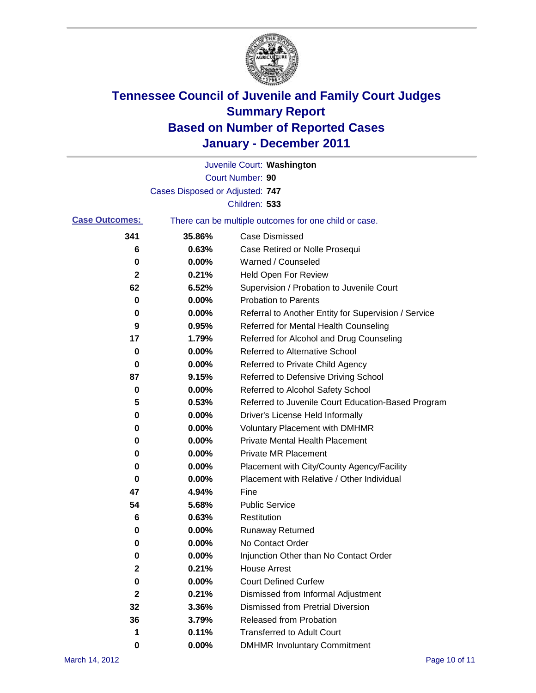

|                       |                                 | Juvenile Court: Washington                            |
|-----------------------|---------------------------------|-------------------------------------------------------|
|                       |                                 | Court Number: 90                                      |
|                       | Cases Disposed or Adjusted: 747 |                                                       |
|                       |                                 | Children: 533                                         |
| <b>Case Outcomes:</b> |                                 | There can be multiple outcomes for one child or case. |
| 341                   | 35.86%                          | <b>Case Dismissed</b>                                 |
| 6                     | 0.63%                           | Case Retired or Nolle Prosequi                        |
| 0                     | 0.00%                           | Warned / Counseled                                    |
| 2                     | 0.21%                           | Held Open For Review                                  |
| 62                    | 6.52%                           | Supervision / Probation to Juvenile Court             |
| 0                     | 0.00%                           | <b>Probation to Parents</b>                           |
| 0                     | 0.00%                           | Referral to Another Entity for Supervision / Service  |
| 9                     | 0.95%                           | Referred for Mental Health Counseling                 |
| 17                    | 1.79%                           | Referred for Alcohol and Drug Counseling              |
| 0                     | 0.00%                           | <b>Referred to Alternative School</b>                 |
| 0                     | 0.00%                           | Referred to Private Child Agency                      |
| 87                    | 9.15%                           | Referred to Defensive Driving School                  |
| 0                     | 0.00%                           | Referred to Alcohol Safety School                     |
| 5                     | 0.53%                           | Referred to Juvenile Court Education-Based Program    |
| 0                     | 0.00%                           | Driver's License Held Informally                      |
| 0                     | 0.00%                           | <b>Voluntary Placement with DMHMR</b>                 |
| 0                     | 0.00%                           | <b>Private Mental Health Placement</b>                |
| 0                     | 0.00%                           | <b>Private MR Placement</b>                           |
| 0                     | 0.00%                           | Placement with City/County Agency/Facility            |
| 0                     | 0.00%                           | Placement with Relative / Other Individual            |
| 47                    | 4.94%                           | Fine                                                  |
| 54                    | 5.68%                           | <b>Public Service</b>                                 |
| 6                     | 0.63%                           | Restitution                                           |
| 0                     | 0.00%                           | <b>Runaway Returned</b>                               |
| 0                     | 0.00%                           | No Contact Order                                      |
| $\pmb{0}$             | 0.00%                           | Injunction Other than No Contact Order                |
| 2                     | 0.21%                           | <b>House Arrest</b>                                   |
| 0                     | 0.00%                           | <b>Court Defined Curfew</b>                           |
| 2                     | 0.21%                           | Dismissed from Informal Adjustment                    |
| 32                    | 3.36%                           | <b>Dismissed from Pretrial Diversion</b>              |
| 36                    | 3.79%                           | Released from Probation                               |
| 1                     | 0.11%                           | <b>Transferred to Adult Court</b>                     |
| 0                     | $0.00\%$                        | <b>DMHMR Involuntary Commitment</b>                   |